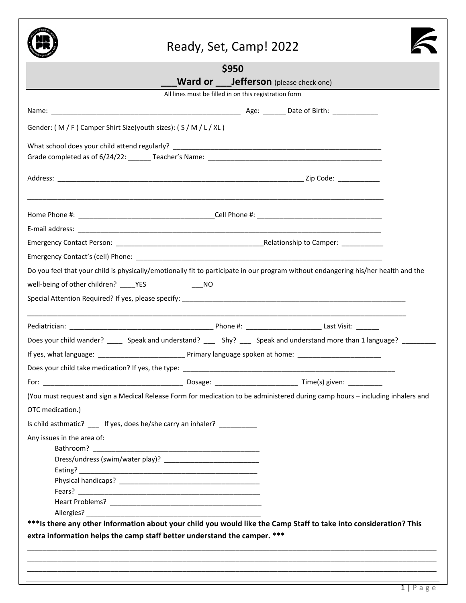

# Ready, Set, Camp! 2022



|                                                                                                      | \$950                                                                                                                              |  |  |  |  |
|------------------------------------------------------------------------------------------------------|------------------------------------------------------------------------------------------------------------------------------------|--|--|--|--|
| ___Ward or ____Jefferson (please check one)<br>All lines must be filled in on this registration form |                                                                                                                                    |  |  |  |  |
|                                                                                                      |                                                                                                                                    |  |  |  |  |
|                                                                                                      |                                                                                                                                    |  |  |  |  |
| Gender: (M/F) Camper Shirt Size(youth sizes): (S/M/L/XL)                                             |                                                                                                                                    |  |  |  |  |
|                                                                                                      |                                                                                                                                    |  |  |  |  |
|                                                                                                      |                                                                                                                                    |  |  |  |  |
|                                                                                                      | ,一个人的人们就是一个人的人,我们就是一个人的人,我们就是一个人的人,我们就是一个人的人,我们就是一个人的人,我们就是一个人的人,我们就是一个人的人,我们就是一                                                   |  |  |  |  |
|                                                                                                      |                                                                                                                                    |  |  |  |  |
|                                                                                                      |                                                                                                                                    |  |  |  |  |
|                                                                                                      |                                                                                                                                    |  |  |  |  |
|                                                                                                      | Do you feel that your child is physically/emotionally fit to participate in our program without endangering his/her health and the |  |  |  |  |
|                                                                                                      |                                                                                                                                    |  |  |  |  |
|                                                                                                      |                                                                                                                                    |  |  |  |  |
|                                                                                                      |                                                                                                                                    |  |  |  |  |
|                                                                                                      |                                                                                                                                    |  |  |  |  |
|                                                                                                      | Does your child wander? ______ Speak and understand? _____ Shy? ____ Speak and understand more than 1 language? ________           |  |  |  |  |
|                                                                                                      |                                                                                                                                    |  |  |  |  |
|                                                                                                      |                                                                                                                                    |  |  |  |  |
|                                                                                                      |                                                                                                                                    |  |  |  |  |
|                                                                                                      | (You must request and sign a Medical Release Form for medication to be administered during camp hours - including inhalers and     |  |  |  |  |
|                                                                                                      |                                                                                                                                    |  |  |  |  |
| OTC medication.)                                                                                     |                                                                                                                                    |  |  |  |  |
| Is child asthmatic? ____ If yes, does he/she carry an inhaler? __________                            |                                                                                                                                    |  |  |  |  |
| Any issues in the area of:                                                                           |                                                                                                                                    |  |  |  |  |
|                                                                                                      |                                                                                                                                    |  |  |  |  |
|                                                                                                      |                                                                                                                                    |  |  |  |  |
|                                                                                                      |                                                                                                                                    |  |  |  |  |
|                                                                                                      |                                                                                                                                    |  |  |  |  |
|                                                                                                      |                                                                                                                                    |  |  |  |  |
|                                                                                                      |                                                                                                                                    |  |  |  |  |
|                                                                                                      | *** Is there any other information about your child you would like the Camp Staff to take into consideration? This                 |  |  |  |  |
| extra information helps the camp staff better understand the camper. ***                             |                                                                                                                                    |  |  |  |  |
|                                                                                                      |                                                                                                                                    |  |  |  |  |
|                                                                                                      |                                                                                                                                    |  |  |  |  |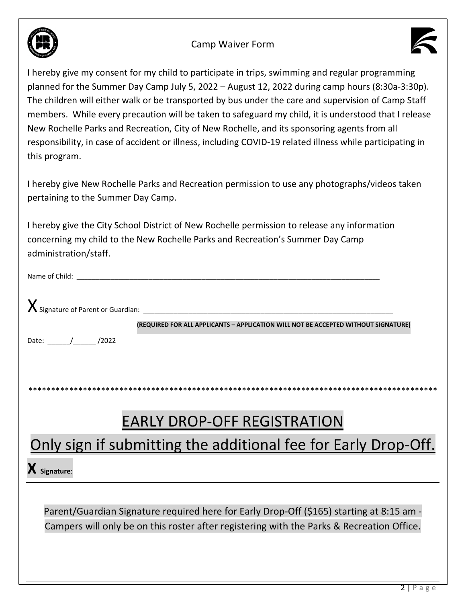

### **Camp Waiver Form**



I hereby give my consent for my child to participate in trips, swimming and regular programming planned for the Summer Day Camp July 5, 2022 - August 12, 2022 during camp hours (8:30a-3:30p). The children will either walk or be transported by bus under the care and supervision of Camp Staff members. While every precaution will be taken to safeguard my child, it is understood that I release New Rochelle Parks and Recreation, City of New Rochelle, and its sponsoring agents from all responsibility, in case of accident or illness, including COVID-19 related illness while participating in this program.

I hereby give New Rochelle Parks and Recreation permission to use any photographs/videos taken pertaining to the Summer Day Camp.

I hereby give the City School District of New Rochelle permission to release any information concerning my child to the New Rochelle Parks and Recreation's Summer Day Camp administration/staff.

| Name of Child: |                                                                                    |
|----------------|------------------------------------------------------------------------------------|
|                |                                                                                    |
|                | (REQUIRED FOR ALL APPLICANTS - APPLICATION WILL NOT BE ACCEPTED WITHOUT SIGNATURE) |
| /2022<br>Date: |                                                                                    |
|                |                                                                                    |
|                |                                                                                    |

# **EARLY DROP-OFF REGISTRATION**

# Only sign if submitting the additional fee for Early Drop-Off.

 $\mathbf X$  Signature:

Parent/Guardian Signature required here for Early Drop-Off (\$165) starting at 8:15 am -Campers will only be on this roster after registering with the Parks & Recreation Office.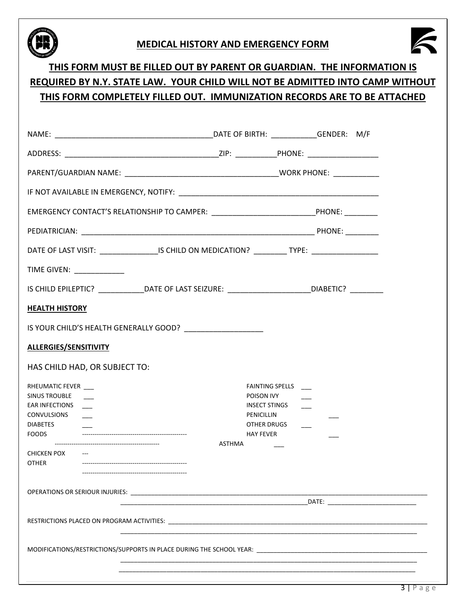

### **MEDICAL HISTORY AND EMERGENCY FORM**



## **THIS FORM MUST BE FILLED OUT BY PARENT OR GUARDIAN. THE INFORMATION IS REQUIRED BY N.Y. STATE LAW. YOUR CHILD WILL NOT BE ADMITTED INTO CAMP WITHOUT THIS FORM COMPLETELY FILLED OUT. IMMUNIZATION RECORDS ARE TO BE ATTACHED**

| EMERGENCY CONTACT'S RELATIONSHIP TO CAMPER: _______________________________PHONE: _________          |        |                                                                                         |  |
|------------------------------------------------------------------------------------------------------|--------|-----------------------------------------------------------------------------------------|--|
|                                                                                                      |        |                                                                                         |  |
| DATE OF LAST VISIT: _________________IS CHILD ON MEDICATION? __________TYPE: ______________________  |        |                                                                                         |  |
| TIME GIVEN: ____________                                                                             |        |                                                                                         |  |
| IS CHILD EPILEPTIC? _______________DATE OF LAST SEIZURE: ________________________DIABETIC? _________ |        |                                                                                         |  |
| <b>HEALTH HISTORY</b>                                                                                |        |                                                                                         |  |
|                                                                                                      |        |                                                                                         |  |
| <b>ALLERGIES/SENSITIVITY</b>                                                                         |        |                                                                                         |  |
| HAS CHILD HAD, OR SUBJECT TO:                                                                        |        |                                                                                         |  |
| RHEUMATIC FEVER<br><b>SINUS TROUBLE</b><br><b>EAR INFECTIONS</b><br>CONVULSIONS<br><b>DIABETES</b>   |        | <b>FAINTING SPELLS</b><br>POISON IVY<br>INSECT STINGS ____<br>PENICILLIN<br>OTHER DRUGS |  |
|                                                                                                      | ASTHMA | <b>HAY FEVER</b>                                                                        |  |
| CHICKEN POX ---<br>OTHER                                                                             |        |                                                                                         |  |
|                                                                                                      |        |                                                                                         |  |
|                                                                                                      |        |                                                                                         |  |
|                                                                                                      |        |                                                                                         |  |
|                                                                                                      |        |                                                                                         |  |
|                                                                                                      |        |                                                                                         |  |